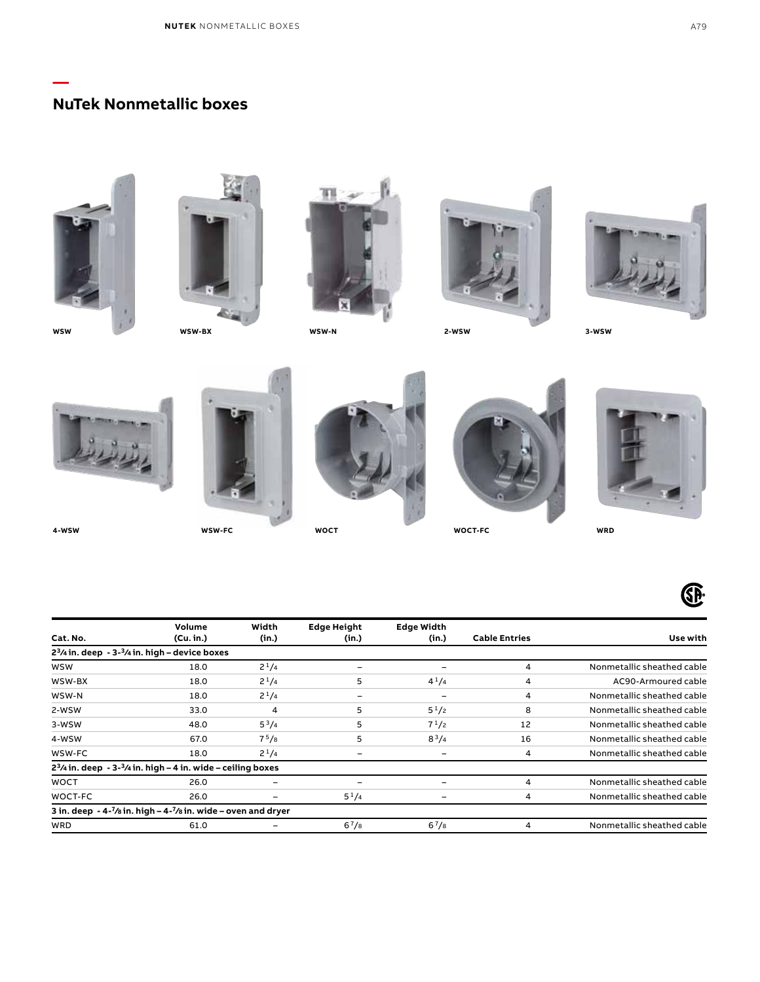## **NuTek Nonmetallic boxes**

**—**

**4-WSW**



**WOCT-FC WRD**



|             | Volume                                                            | Width             | <b>Edge Height</b> | <b>Edge Width</b>        |                      |                            |
|-------------|-------------------------------------------------------------------|-------------------|--------------------|--------------------------|----------------------|----------------------------|
| Cat. No.    | (Cu. in.)                                                         | (in.)             | (in.)              | (in.)                    | <b>Cable Entries</b> | Use with                   |
|             | $23/4$ in. deep - $3-3/4$ in. high – device boxes                 |                   |                    |                          |                      |                            |
| <b>WSW</b>  | 18.0                                                              | $2^{1}/4$         | -                  | $\overline{\phantom{0}}$ | 4                    | Nonmetallic sheathed cable |
| WSW-BX      | 18.0                                                              | $2^{1}/4$         | 5                  | $4^{1}/4$                | 4                    | AC90-Armoured cable        |
| WSW-N       | 18.0                                                              | $2^{1}/4$         | -                  | ۰                        | 4                    | Nonmetallic sheathed cable |
| 2-WSW       | 33.0                                                              | 4                 | 5                  | $5^{1}/2$                | 8                    | Nonmetallic sheathed cable |
| 3-WSW       | 48.0                                                              | $5^3/4$           | 5                  | $7^{1}/2$                | 12                   | Nonmetallic sheathed cable |
| 4-WSW       | 67.0                                                              | 7 <sup>5</sup> /8 | 5                  | $8^{3}/4$                | 16                   | Nonmetallic sheathed cable |
| WSW-FC      | 18.0                                                              | $2^{1}/4$         |                    |                          | 4                    | Nonmetallic sheathed cable |
|             | $23/4$ in. deep - $3-3/4$ in. high - 4 in. wide - ceiling boxes   |                   |                    |                          |                      |                            |
| <b>WOCT</b> | 26.0                                                              | -                 |                    |                          | 4                    | Nonmetallic sheathed cable |
| WOCT-FC     | 26.0                                                              | -                 | $5^{1}/4$          |                          | 4                    | Nonmetallic sheathed cable |
|             | 3 in. deep $-4-7$ /s in. high $-4-7$ /s in. wide – oven and dryer |                   |                    |                          |                      |                            |
| <b>WRD</b>  | 61.0                                                              | -                 | $6^{7}/8$          | $6^{7}/8$                | 4                    | Nonmetallic sheathed cable |

**WOCT**

**WSW-FC**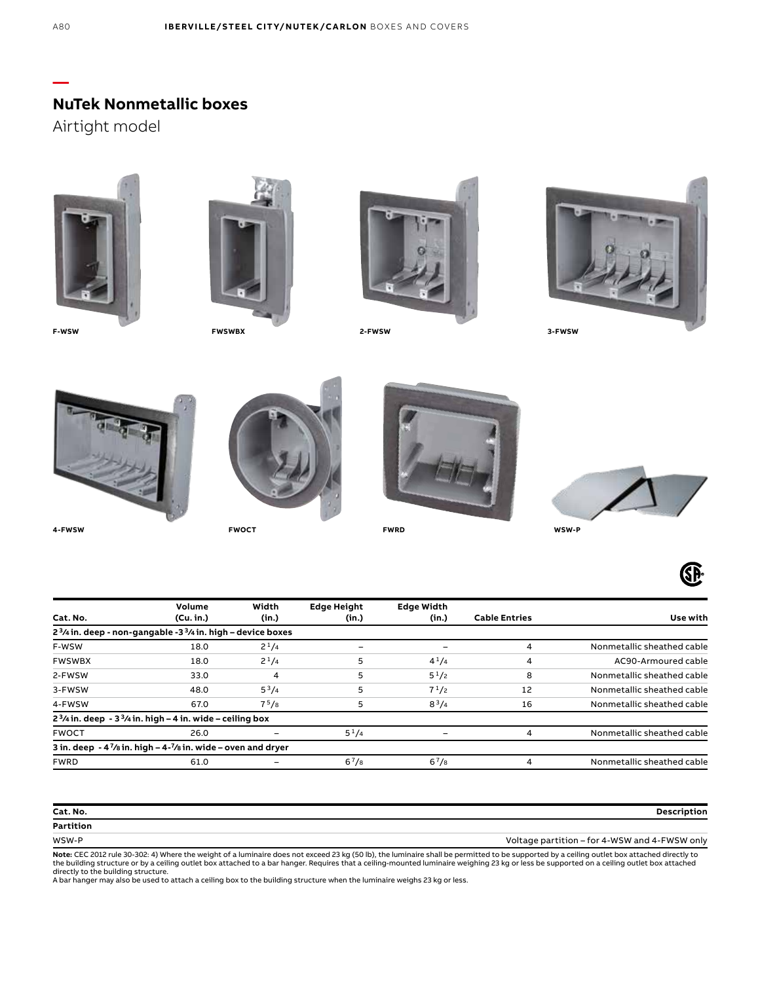**NuTek Nonmetallic boxes**

Airtight model





**FWSWBX**



**2-FWSW**



**3-FWSW**



**4-FWSW**



**FWOCT WSW-P**





Œ

| <b>Cable Entries</b> | <b>Edge Width</b><br>(in.) | <b>Edge Height</b><br>(in.) | Width<br>(in.)    | Volume<br>(Cu, in.) | Cat. No.                                                                                                                                                                                                           |
|----------------------|----------------------------|-----------------------------|-------------------|---------------------|--------------------------------------------------------------------------------------------------------------------------------------------------------------------------------------------------------------------|
|                      |                            |                             |                   |                     |                                                                                                                                                                                                                    |
| 4                    | ۰                          |                             | $2^{1}/4$         | 18.0                | F-WSW                                                                                                                                                                                                              |
| 4                    | $4^{1}/4$                  | 5                           | $2^{1}/4$         | 18.0                | <b>FWSWBX</b>                                                                                                                                                                                                      |
| 8                    | $5^{1}/2$                  | 5                           | 4                 | 33.0                | 2-FWSW                                                                                                                                                                                                             |
| 12                   | $7^{1/2}$                  | 5                           | $5^{3}/4$         | 48.0                | 3-FWSW                                                                                                                                                                                                             |
| 16                   | $8^{3}/4$                  | 5                           | 7 <sup>5</sup> /8 | 67.0                | 4-FWSW                                                                                                                                                                                                             |
|                      |                            |                             |                   |                     |                                                                                                                                                                                                                    |
|                      |                            | $5^{1}/4$                   |                   | 26.0                | <b>FWOCT</b>                                                                                                                                                                                                       |
|                      |                            |                             |                   |                     |                                                                                                                                                                                                                    |
| 4                    | $6^{7}/s$                  | $6^{7}/s$                   |                   | 61.0                | <b>FWRD</b>                                                                                                                                                                                                        |
|                      |                            |                             |                   |                     | $23/4$ in. deep - non-gangable -3 $3/4$ in. high – device boxes<br>$23/4$ in. deep - $33/4$ in. high - 4 in. wide - ceiling box<br>3 in. deep $-4\frac{7}{8}$ in. high $-4\frac{7}{8}$ in. wide $-$ oven and dryer |

| Cat. No.  | Description                                   |
|-----------|-----------------------------------------------|
| Partition |                                               |
| WSW-P     | Voltage partition - for 4-WSW and 4-FWSW only |

**Note:** CEC 2012 rule 30-302: 4) Where the weight of a luminaire does not exceed 23 kg (50 lb), the luminaire shall be permitted to be supported by a ceiling outlet box attached directly to<br>the building structure or by a c

**—**